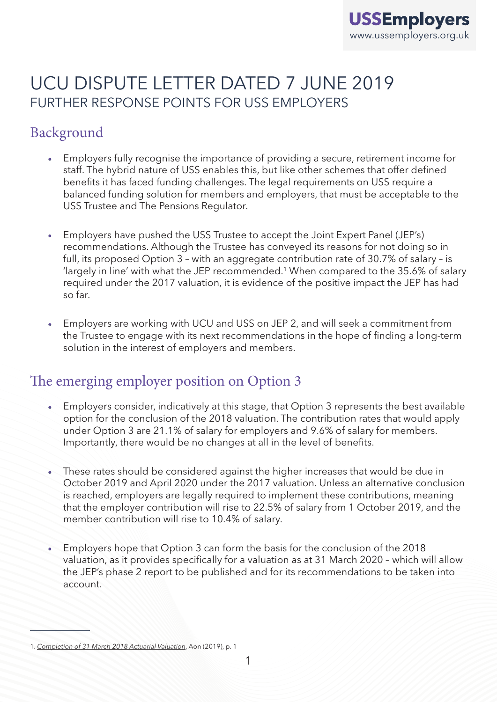## UCU DISPUTE LETTER DATED 7 JUNE 2019 FURTHER RESPONSE POINTS FOR USS EMPLOYERS

### Background

- Employers fully recognise the importance of providing a secure, retirement income for staff. The hybrid nature of USS enables this, but like other schemes that offer defined benefits it has faced funding challenges. The legal requirements on USS require a balanced funding solution for members and employers, that must be acceptable to the USS Trustee and The Pensions Regulator.
- Employers have pushed the USS Trustee to accept the Joint Expert Panel (JEP's) recommendations. Although the Trustee has conveyed its reasons for not doing so in full, its proposed Option 3 – with an aggregate contribution rate of 30.7% of salary – is 'largely in line' with what the JEP recommended.<sup>1</sup> When compared to the 35.6% of salary required under the 2017 valuation, it is evidence of the positive impact the JEP has had so far.
- Employers are working with UCU and USS on JEP 2, and will seek a commitment from the Trustee to engage with its next recommendations in the hope of finding a long-term solution in the interest of employers and members.

#### The emerging employer position on Option 3

- Employers consider, indicatively at this stage, that Option 3 represents the best available option for the conclusion of the 2018 valuation. The contribution rates that would apply under Option 3 are 21.1% of salary for employers and 9.6% of salary for members. Importantly, there would be no changes at all in the level of benefits.
- These rates should be considered against the higher increases that would be due in October 2019 and April 2020 under the 2017 valuation. Unless an alternative conclusion is reached, employers are legally required to implement these contributions, meaning that the employer contribution will rise to 22.5% of salary from 1 October 2019, and the member contribution will rise to 10.4% of salary.
- Employers hope that Option 3 can form the basis for the conclusion of the 2018 valuation, as it provides specifically for a valuation as at 31 March 2020 – which will allow the JEP's phase 2 report to be published and for its recommendations to be taken into account.

<sup>1.</sup> *[Completion of 31 March 2018 Actuarial Valuation](https://www.ussemployers.org.uk/sites/default/files/field/attachemnt/completion-2018-valuation-aon_0.pdf)*, Aon (2019), p. 1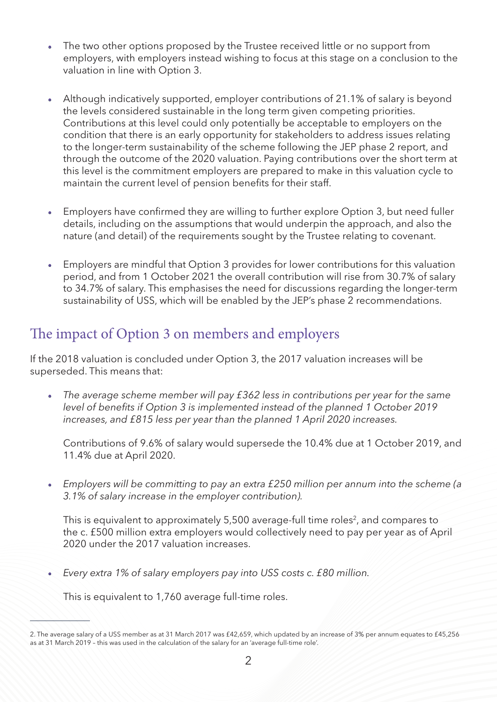- The two other options proposed by the Trustee received little or no support from employers, with employers instead wishing to focus at this stage on a conclusion to the valuation in line with Option 3.
- Although indicatively supported, employer contributions of 21.1% of salary is beyond the levels considered sustainable in the long term given competing priorities. Contributions at this level could only potentially be acceptable to employers on the condition that there is an early opportunity for stakeholders to address issues relating to the longer-term sustainability of the scheme following the JEP phase 2 report, and through the outcome of the 2020 valuation. Paying contributions over the short term at this level is the commitment employers are prepared to make in this valuation cycle to maintain the current level of pension benefits for their staff.
- Employers have confirmed they are willing to further explore Option 3, but need fuller details, including on the assumptions that would underpin the approach, and also the nature (and detail) of the requirements sought by the Trustee relating to covenant.
- Employers are mindful that Option 3 provides for lower contributions for this valuation period, and from 1 October 2021 the overall contribution will rise from 30.7% of salary to 34.7% of salary. This emphasises the need for discussions regarding the longer-term sustainability of USS, which will be enabled by the JEP's phase 2 recommendations.

#### The impact of Option 3 on members and employers

If the 2018 valuation is concluded under Option 3, the 2017 valuation increases will be superseded. This means that:

*• The average scheme member will pay £362 less in contributions per year for the same level of benefits if Option 3 is implemented instead of the planned 1 October 2019 increases, and £815 less per year than the planned 1 April 2020 increases.* 

Contributions of 9.6% of salary would supersede the 10.4% due at 1 October 2019, and 11.4% due at April 2020.

*• Employers will be committing to pay an extra £250 million per annum into the scheme (a 3.1% of salary increase in the employer contribution).*

This is equivalent to approximately 5,500 average-full time roles<sup>2</sup>, and compares to the c. £500 million extra employers would collectively need to pay per year as of April 2020 under the 2017 valuation increases.

*• Every extra 1% of salary employers pay into USS costs c. £80 million.*

This is equivalent to 1,760 average full-time roles.

<sup>2.</sup> The average salary of a USS member as at 31 March 2017 was £42,659, which updated by an increase of 3% per annum equates to £45,256 as at 31 March 2019 – this was used in the calculation of the salary for an 'average full-time role'.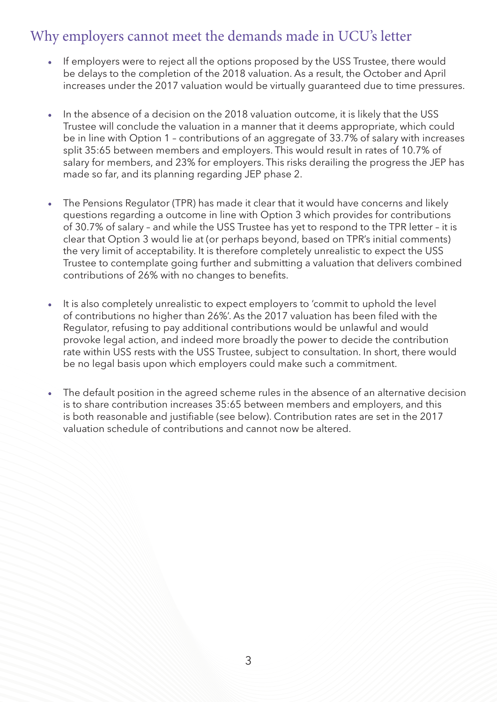#### Why employers cannot meet the demands made in UCU's letter

- If employers were to reject all the options proposed by the USS Trustee, there would be delays to the completion of the 2018 valuation. As a result, the October and April increases under the 2017 valuation would be virtually guaranteed due to time pressures.
- In the absence of a decision on the 2018 valuation outcome, it is likely that the USS Trustee will conclude the valuation in a manner that it deems appropriate, which could be in line with Option 1 – contributions of an aggregate of 33.7% of salary with increases split 35:65 between members and employers. This would result in rates of 10.7% of salary for members, and 23% for employers. This risks derailing the progress the JEP has made so far, and its planning regarding JEP phase 2.
- The Pensions Regulator (TPR) has made it clear that it would have concerns and likely questions regarding a outcome in line with Option 3 which provides for contributions of 30.7% of salary – and while the USS Trustee has yet to respond to the TPR letter – it is clear that Option 3 would lie at (or perhaps beyond, based on TPR's initial comments) the very limit of acceptability. It is therefore completely unrealistic to expect the USS Trustee to contemplate going further and submitting a valuation that delivers combined contributions of 26% with no changes to benefits.
- It is also completely unrealistic to expect employers to 'commit to uphold the level of contributions no higher than 26%'. As the 2017 valuation has been filed with the Regulator, refusing to pay additional contributions would be unlawful and would provoke legal action, and indeed more broadly the power to decide the contribution rate within USS rests with the USS Trustee, subject to consultation. In short, there would be no legal basis upon which employers could make such a commitment.
- The default position in the agreed scheme rules in the absence of an alternative decision is to share contribution increases 35:65 between members and employers, and this is both reasonable and justifiable (see below). Contribution rates are set in the 2017 valuation schedule of contributions and cannot now be altered.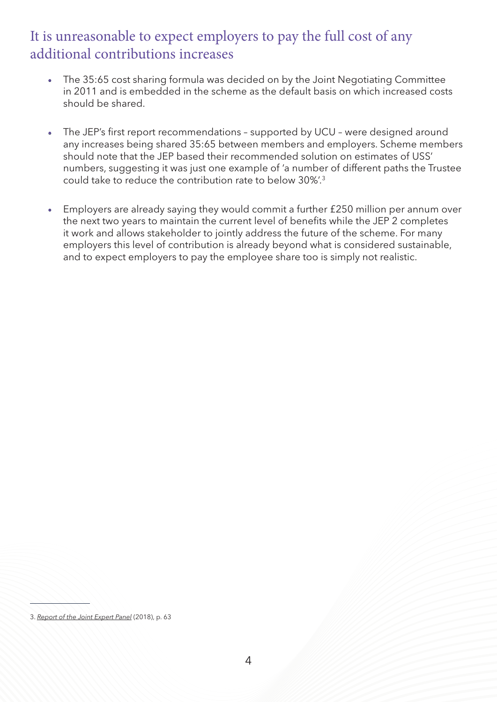#### It is unreasonable to expect employers to pay the full cost of any additional contributions increases

- The 35:65 cost sharing formula was decided on by the Joint Negotiating Committee in 2011 and is embedded in the scheme as the default basis on which increased costs should be shared.
- The JEP's first report recommendations supported by UCU were designed around any increases being shared 35:65 between members and employers. Scheme members should note that the JEP based their recommended solution on estimates of USS' numbers, suggesting it was just one example of 'a number of different paths the Trustee could take to reduce the contribution rate to below 30%'.3
- Employers are already saying they would commit a further £250 million per annum over the next two years to maintain the current level of benefits while the JEP 2 completes it work and allows stakeholder to jointly address the future of the scheme. For many employers this level of contribution is already beyond what is considered sustainable, and to expect employers to pay the employee share too is simply not realistic.

<sup>3.</sup> *[Report of the Joint Expert Panel](http://www.ussjep.org.uk/files/2018/09/report-of-the-joint-expert-panel.pdf)* (2018), p. 63